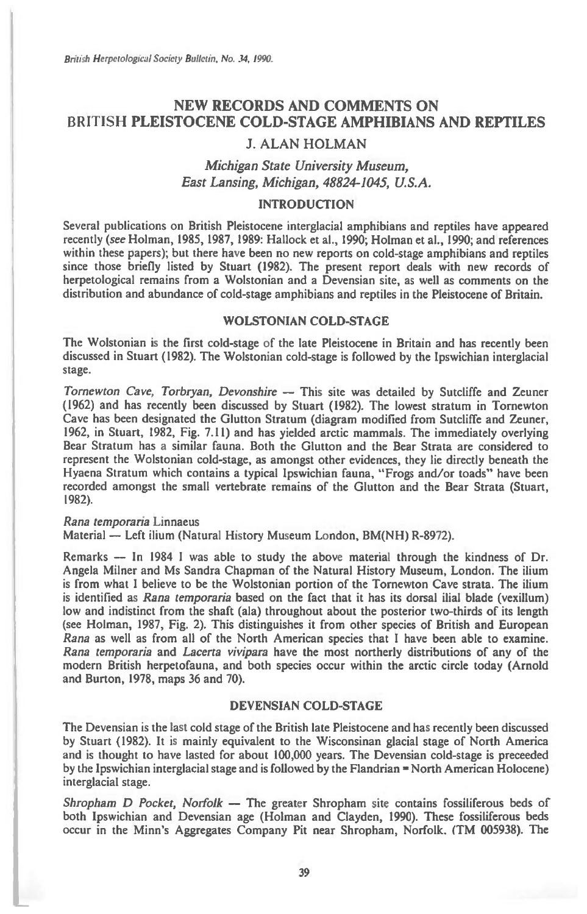British Herpetological Society Bulletin, No. 34, 1990.

# **NEW RECORDS AND COMMENTS ON BRITISH PLEISTOCENE COLD-STAGE AMPHIBIANS AND REPTILES**

# **J. ALAN HOLMAN**

# *Michigan State University Museum, East Lansing, Michigan, 48824-1045, U.S.A.*

# **INTRODUCTION**

Several publications on British Pleistocene interglacial amphibians and reptiles have appeared recently *(see* Holman, 1985, 1987, 1989: Hallock et al., 1990; Holman et al., 1990; and references within these papers); but there have been no new reports on cold-stage amphibians and reptiles since those briefly listed by Stuart (1982). The present report deals with new records of herpetological remains from a Wolstonian and a Devensian site, as well as comments on the distribution and abundance of cold-stage amphibians and reptiles in the Pleistocene of Britain.

#### **WOLSTONIAN COLD-STAGE**

The Wolstonian is the first cold-stage of the late Pleistocene in Britain and has recently been discussed in Stuart (1982). The Wolstonian cold-stage is followed by the Ipswichian interglacial stage.

*Tornewton Cave, Torbryan, Devonshire —* This site was detailed by Sutcliffe and Zeuner (1962) and has recently been discussed by Stuart (1982). The lowest stratum in Tornewton Cave has been designated the Glutton Stratum (diagram modified from Sutcliffe and Zeuner, 1962, in Stuart, 1982, Fig. 7.11) and has yielded arctic mammals. The immediately overlying Bear Stratum has a similar fauna. Both the Glutton and the Bear Strata are considered to represent the Wolstonian cold-stage, as amongst other evidences, they lie directly beneath the Hyaena Stratum which contains a typical Ipswichian fauna, "Frogs and/or toads" have been recorded amongst the small vertebrate remains of the Glutton and the Bear Strata (Stuart, 1982).

#### *Rana temporaria* Linnaeus

Material — Left ilium (Natural History Museum London, BM(NH) R-8972).

Remarks — In 1984 I was able to study the above material through the kindness of Dr. Angela Milner and Ms Sandra Chapman of the Natural History Museum, London. The ilium is from what I believe to be the Wolstonian portion of the Tornewton Cave strata. The ilium is identified as *Rana temporaria* based on the fact that it has its dorsal ilial blade (vexillum) low and indistinct from the shaft (ala) throughout about the posterior two-thirds of its length (see Holman, 1987, Fig. 2). This distinguishes it from other species of British and European *Rana* as well as from all of the North American species that I have been able to examine. *Rana temporaria* and *Lacerta vivipara* have the most northerly distributions of any of the modern British herpetofauna, and both species occur within the arctic circle today (Arnold and Burton, 1978, maps 36 and 70).

# **DEVENSIAN COLD-STAGE**

The Devensian is the last cold stage of the British late Pleistocene and has recently been discussed by Stuart (1982). It is mainly equivalent to the Wisconsinan glacial stage of North America and is thought to have lasted for about 100,000 years. The Devensian cold-stage is preceeded by the Ipswichian interglacial stage and is followed by the Flandrian = North American Holocene) interglacial stage.

*Shropham D Pocket, Norfolk —* The greater Shropham site contains fossiliferous beds of both Ipswichian and Devensian age (Holman and Clayden, 1990). These fossiliferous beds occur in the Minn's Aggregates Company Pit near Shropham, Norfolk. (TM 005938). The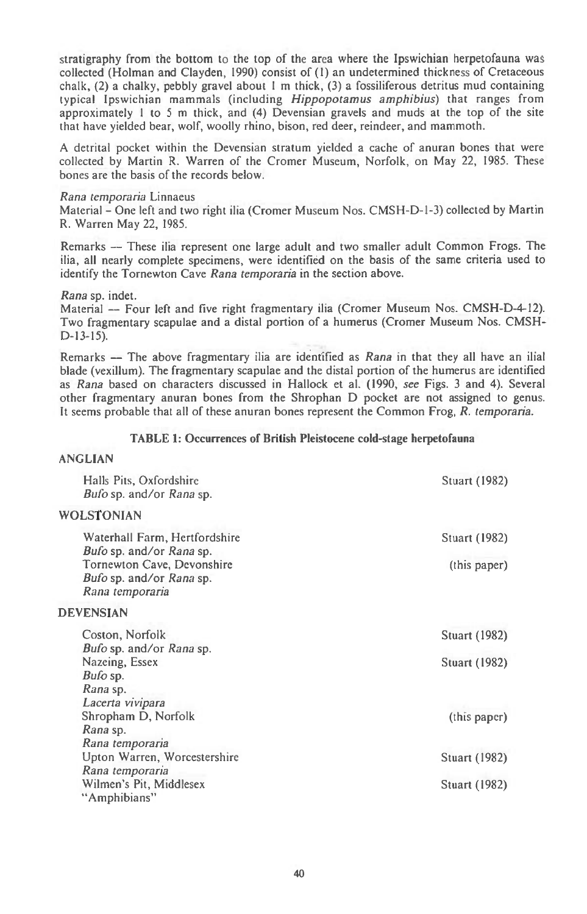stratigraphy from the bottom to the top of the area where the Ipswichian herpetofauna was collected (Holman and Clayden, 1990) consist of (1) an undetermined thickness of Cretaceous chalk, (2) a chalky, pebbly gravel about 1 m thick, (3) a fossiliferous detritus mud containing typical Ipswichian mammals (including *Hippopotamus amphibius)* that ranges from approximately 1 to 5 m thick, and (4) Devensian gravels and muds at the top of the site that have yielded bear, wolf, woolly rhino, bison, red deer, reindeer, and mammoth.

A detrital pocket within the Devensian stratum yielded a cache of anuran bones that were collected by Martin R. Warren of the Cromer Museum, Norfolk, on May 22, 1985. These bones are the basis of the records below.

#### *Rana temporaria* Linnaeus

Material - One left and two right ilia (Cromer Museum Nos. CMSH-D-1-3) collected by Martin R. Warren May 22, 1985.

Remarks — These ilia represent one large adult and two smaller adult Common Frogs. The ilia, all nearly complete specimens, were identified on the basis of the same criteria used to identify the Tornewton Cave *Rana temporaria in* the section above.

*Rana* sp. indet.

Material — Four left and five right fragmentary ilia (Cromer Museum Nos. CMSH-D-4-12). Two fragmentary scapulae and a distal portion of a humerus (Cromer Museum Nos. CMSH-D-13-15).

Remarks — The above fragmentary ilia are identified as *Rana* in that they all have an ilial blade (vexillum). The fragmentary scapulae and the distal portion of the humerus are identified as *Rana* based on characters discussed in Hallock et al. (1990, *see* Figs. 3 and 4). Several other fragmentary anuran bones from the Shrophan D pocket are not assigned to genus. It seems probable that all of these anuran bones represent the Common Frog, *R. temporaria.* 

## TABLE **1: Occurrences of British Pleistocene cold-stage herpetofauna**

# **ANGLIAN**

| Halls Pits, Oxfordshire<br><i>Bufo</i> sp. and/or <i>Rana</i> sp.                                                                      | Stuart (1982)                                |
|----------------------------------------------------------------------------------------------------------------------------------------|----------------------------------------------|
| <b>WOLSTONIAN</b>                                                                                                                      |                                              |
| Waterhall Farm, Hertfordshire<br>Bufo sp. and/or Rana sp.<br>Tornewton Cave, Devonshire<br>Bufo sp. and/or Rana sp.<br>Rana temporaria | Stuart (1982)<br>(this paper)                |
| <b>DEVENSIAN</b>                                                                                                                       |                                              |
| Coston, Norfolk<br><i>Bufo</i> sp. and/or <i>Rana</i> sp.<br>Nazeing, Essex<br>Bufo sp.<br>Rana sp.                                    | <b>Stuart (1982)</b><br><b>Stuart (1982)</b> |
| Lacerta vivipara<br>Shropham D, Norfolk<br>Rana sp.<br>Rana temporaria                                                                 | (this paper)                                 |
| Upton Warren, Worcestershire                                                                                                           | Stuart (1982)                                |
| Rana temporaria<br>Wilmen's Pit, Middlesex<br>"Amphibians"                                                                             | Stuart (1982)                                |